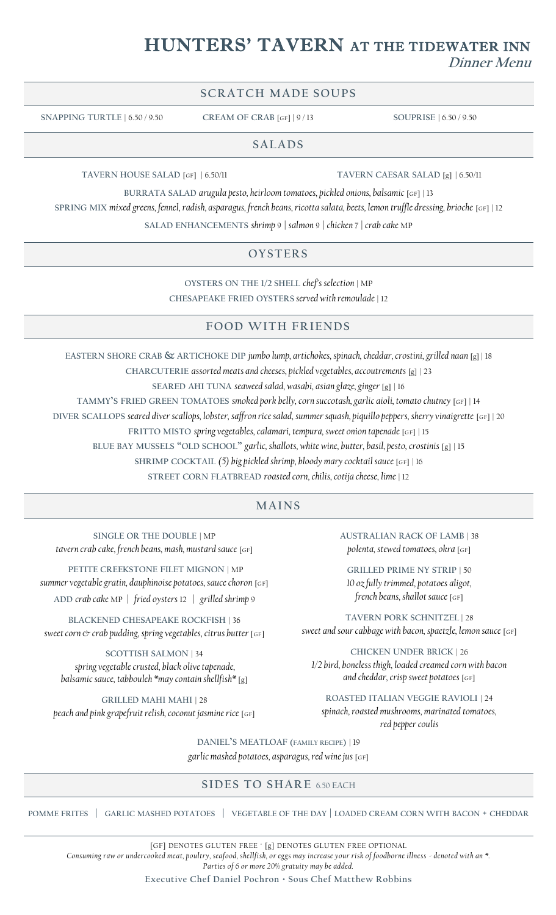# HUNTERS' TAVERN AT THE TIDEWATER INN **Dinner Menu**

# **SCRATCH MADE SOUPS**

**SNAPPING TURTLE** | 6.50 / 9.50 **CREAM OF CRAB** [GF] | 9 / 13 **SOUPRISE** | 6.50 / 9.50

#### **SALADS**

**TAVERN HOUSE SALAD** [GF] | 6.50/11 **TAVERN CAESAR SALAD** [g] | 6.50/11

**BURRATA SALAD** *arugula pesto, heirloom tomatoes, pickled onions, balsamic* [GF] | 13

**SPRING MIX** *mixed greens, fennel, radish, asparagus, french beans, ricotta salata, beets, lemon truffle dressing, brioche* [GF] | 12

**SALAD ENHANCEMENTS** *shrimp* 9 *| salmon* 9 *| chicken* 7 *| crab cake* MP

#### **OY STER S**

**OYSTERS ON THE 1/2 SHELL** *chef's selection* | MP **CHESAPEAKE FRIED OYSTERS** *served with remoulade* | 12

#### **F OOD WITH F R IENDS**

**EASTERN SHORE CRAB & ARTICHOKE DIP** *jumbo lump, artichokes, spinach, cheddar, crostini, grilled naan* [g] | 18

**CHARCUTERIE** *assorted meats and cheeses, pickled vegetables, accoutrements* [g] | 23

**SEARED AHI TUNA** *seaweed salad, wasabi, asian glaze, ginger* [g] | 16

**TAMMY'S FRIED GREEN TOMATOES** *smoked pork belly, corn succotash, garlic aioli, tomato chutney* [GF] | 14

**DIVER SCALLOPS** *seared diver scallops, lobster, saffron rice salad, summer squash, piquillo peppers, sherry vinaigrette* [GF] | 20

**FRITTO MISTO** *spring vegetables, calamari, tempura, sweet onion tapenade* [GF] | 15

**BLUE BAY MUSSELS "OLD SCHOOL"** *garlic, shallots, white wine, butter, basil, pesto, crostinis* [g] | 15

**SHRIMP COCKTAIL** *(5) big pickled shrimp, bloody mary cocktail sauce* [GF] | 16

**STREET CORN FLATBREAD** *roasted corn, chilis, cotija cheese, lime* | 12

### **MAINS**

**SINGLE OR THE DOUBLE** | MP *tavern crab cake, french beans, mash, mustard sauce* [GF]

**PETITE CREEKSTONE FILET MIGNON** | MP *summer vegetable gratin, dauphinoise potatoes, sauce choron* [GF] **ADD** *crab cake* MP *| fried oysters* 12 *| grilled shrimp* 9

**BLACKENED CHESAPEAKE ROCKFISH** | 36 *sweet corn*  $\mathfrak{G}$  *crab pudding, spring vegetables, citrus butter* [GF]

**SCOTTISH SALMON** | 34 *spring vegetable crusted, black olive tapenade, balsamic sauce, tabbouleh \*may contain shellfish\** [g]

**GRILLED MAHI MAHI** | 28 *peach and pink grapefruit relish, coconut jasmine rice* [GF] **AUSTRALIAN RACK OF LAMB** | 38 *polenta, stewed tomatoes, okra* [GF]

**GRILLED PRIME NY STRIP** | 50 *10 oz fully trimmed, potatoes aligot, french beans, shallot sauce* [GF]

**TAVERN PORK SCHNITZEL** | 28 *sweet and sour cabbage with bacon, spaetzle, lemon sauce* [GF]

**CHICKEN UNDER BRICK** | 26 *1/2 bird, boneless thigh, loaded creamed corn with bacon and cheddar, crisp sweet potatoes* [GF]

**ROASTED ITALIAN VEGGIE RAVIOLI** | 24 *spinach, roasted mushrooms, marinated tomatoes, red pepper coulis*

**DANIEL'S MEATLOAF (FAMILY RECIPE)** | 19

*garlic mashed potatoes, asparagus, red wine jus* [GF]

## **SIDES TO SHARE 6.50 EACH**

POMME FRITES | GARLIC MASHED POTATOES | VEGETABLE OF THE DAY | LOADED CREAM CORN WITH BACON + CHEDDAR

[GF] DENOTES GLUTEN FREE ∙ [g] DENOTES GLUTEN FREE OPTIONAL *Consuming raw or undercooked meat, poultry, seafood, shellfish, or eggs may increase your risk of foodborne illness - denoted with an \*. Parties of 6 or more 20% gratuity may be added.*

**Executive Chef Daniel Pochron · Sous Chef Matthew Robbins**